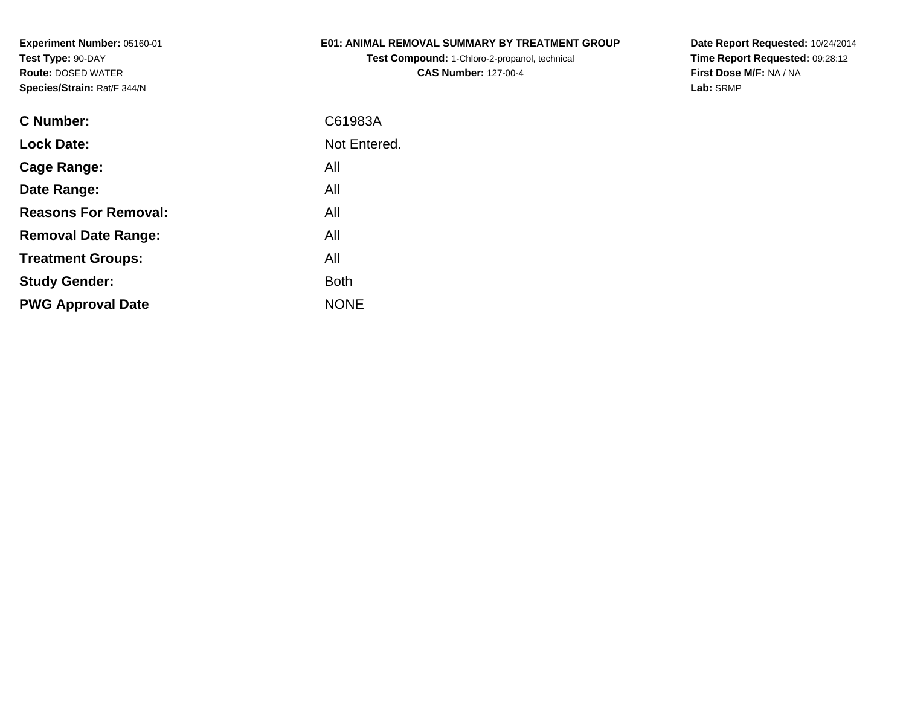## **E01: ANIMAL REMOVAL SUMMARY BY TREATMENT GROUP**

**Test Compound:** 1-Chloro-2-propanol, technical **CAS Number:** 127-00-4

**Date Report Requested:** 10/24/2014 **Time Report Requested:** 09:28:12**First Dose M/F:** NA / NA**Lab:** SRMP

| C Number:                   | C61983A      |
|-----------------------------|--------------|
| <b>Lock Date:</b>           | Not Entered. |
| Cage Range:                 | All          |
| Date Range:                 | All          |
| <b>Reasons For Removal:</b> | All          |
| <b>Removal Date Range:</b>  | All          |
| <b>Treatment Groups:</b>    | All          |
| <b>Study Gender:</b>        | <b>Both</b>  |
| <b>PWG Approval Date</b>    | <b>NONF</b>  |
|                             |              |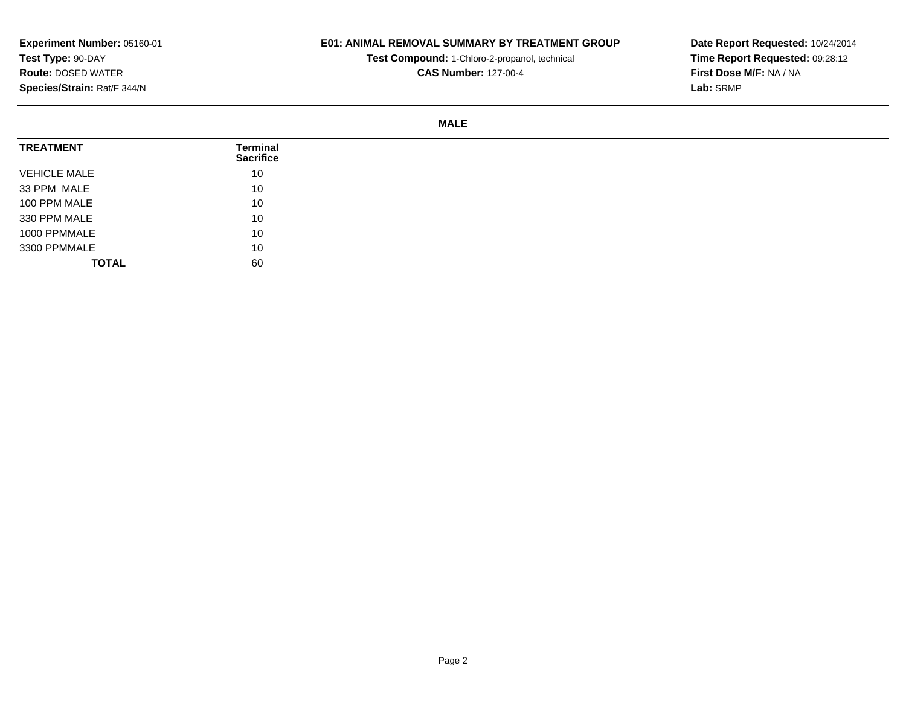## **E01: ANIMAL REMOVAL SUMMARY BY TREATMENT GROUP**

**Test Compound:** 1-Chloro-2-propanol, technical **CAS Number:** 127-00-4

**Date Report Requested:** 10/24/2014 **Time Report Requested:** 09:28:12**First Dose M/F:** NA / NA**Lab:** SRMP

#### **MALE**

| <b>TREATMENT</b>    | Terminal<br><b>Sacrifice</b> |
|---------------------|------------------------------|
| <b>VEHICLE MALE</b> | 10                           |
| 33 PPM MALE         | 10                           |
| 100 PPM MALE        | 10                           |
| 330 PPM MALE        | 10                           |
| 1000 PPMMALE        | 10                           |
| 3300 PPMMALE        | 10                           |
| <b>TOTAL</b>        | 60                           |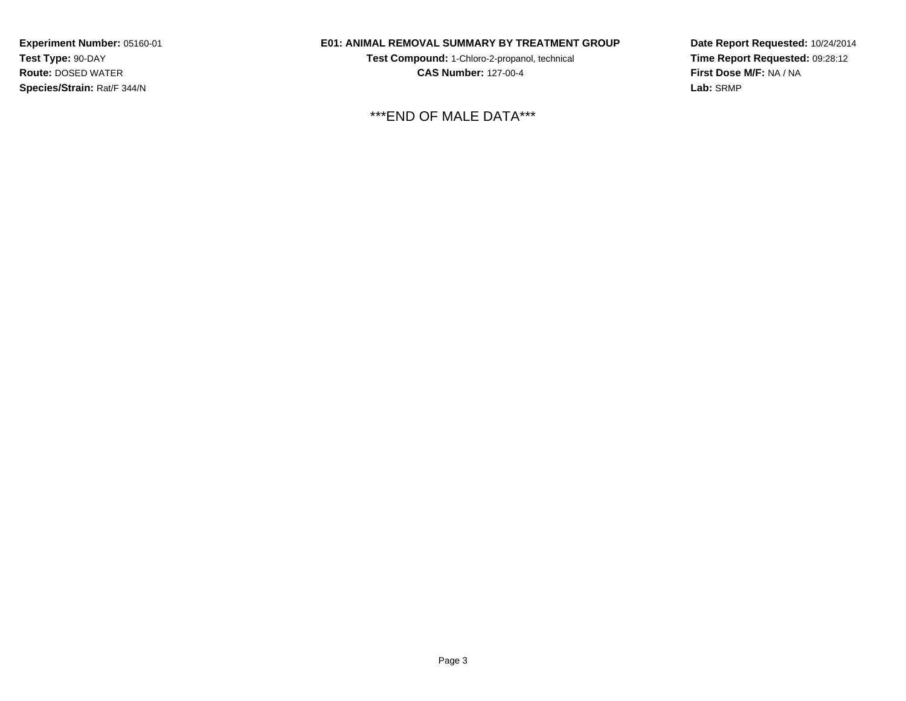## **E01: ANIMAL REMOVAL SUMMARY BY TREATMENT GROUP**

**Test Compound:** 1-Chloro-2-propanol, technical **CAS Number:** 127-00-4

\*\*\*END OF MALE DATA\*\*\*

**Date Report Requested:** 10/24/2014 **Time Report Requested:** 09:28:12**First Dose M/F:** NA / NA**Lab:** SRMP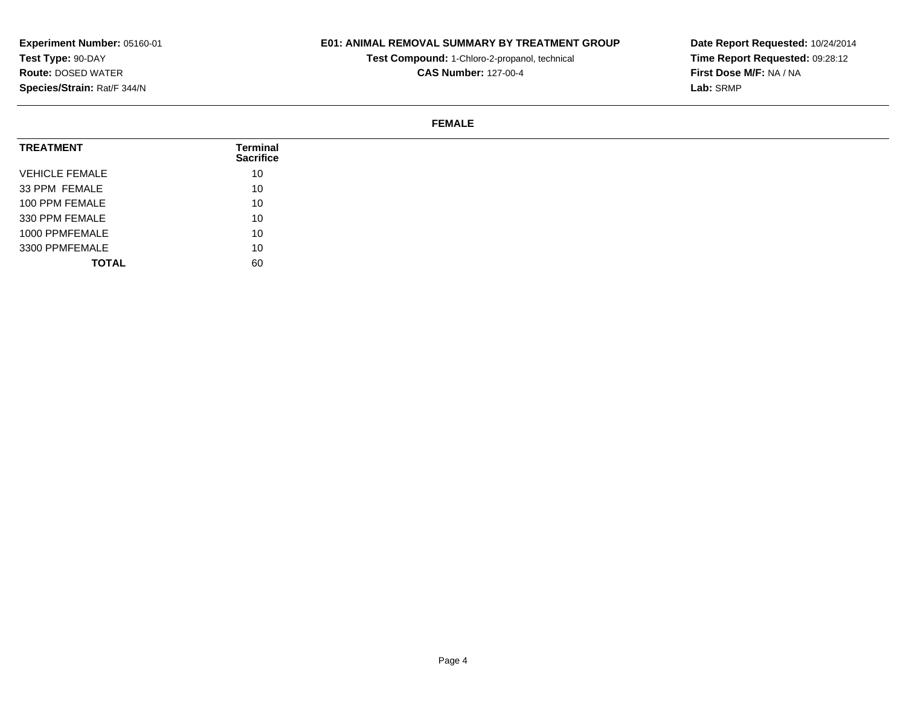## **E01: ANIMAL REMOVAL SUMMARY BY TREATMENT GROUP**

**Test Compound:** 1-Chloro-2-propanol, technical **CAS Number:** 127-00-4

**Date Report Requested:** 10/24/2014 **Time Report Requested:** 09:28:12**First Dose M/F:** NA / NA**Lab:** SRMP

#### **FEMALE**

| <b>TREATMENT</b>      | Terminal<br><b>Sacrifice</b> |
|-----------------------|------------------------------|
| <b>VEHICLE FEMALE</b> | 10                           |
| 33 PPM FEMALE         | 10                           |
| 100 PPM FEMALE        | 10                           |
| 330 PPM FEMALE        | 10                           |
| 1000 PPMFEMALE        | 10                           |
| 3300 PPMFEMALE        | 10                           |
| <b>TOTAL</b>          | 60                           |